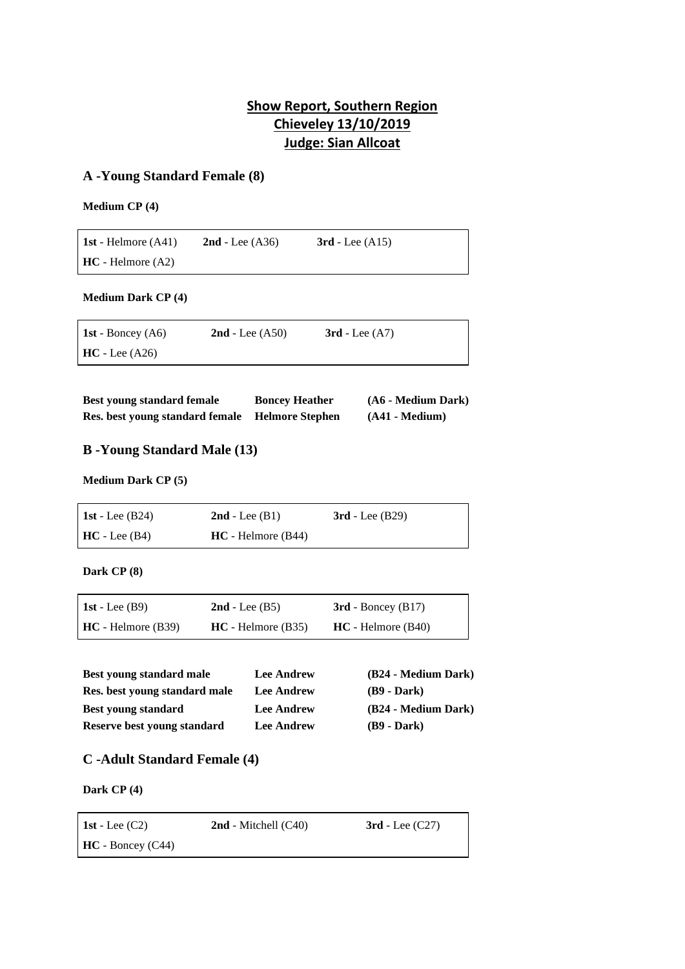# **Show Report, Southern Region Chieveley 13/10/2019 Judge: Sian Allcoat**

## **A -Young Standard Female (8)**

**Medium CP (4)**

| 1st - Helmore $(A41)$ | $2nd$ - Lee $(A36)$ | $3rd$ - Lee $(A15)$ |
|-----------------------|---------------------|---------------------|
| $HC - Helmore (A2)$   |                     |                     |

**Medium Dark CP (4)**

| 1st - Boncey $(A6)$ | $2nd$ - Lee $( A50)$ | $3rd$ - Lee $(A7)$ |
|---------------------|----------------------|--------------------|
| $HC - Lee (A26)$    |                      |                    |

| <b>Best young standard female</b> | <b>Boncey Heather</b>  | (A6 - Medium Dark) |
|-----------------------------------|------------------------|--------------------|
| Res. best young standard female   | <b>Helmore Stephen</b> | $(A41 - Medium)$   |

## **B -Young Standard Male (13)**

**Medium Dark CP (5)**

| 1st - Lee $(B24)$ | $2nd$ - Lee $(B1)$   | $3rd$ - Lee $(B29)$ |
|-------------------|----------------------|---------------------|
| $HC - Lee (B4)$   | $HC - Helmore (B44)$ |                     |

**Dark CP (8)**

| 1st - Lee $(B9)$     | $2nd$ - Lee $(B5)$   | $3rd$ - Boncey (B17) |
|----------------------|----------------------|----------------------|
| $HC - Helmore (B39)$ | $HC - Helmore (B35)$ | $HC - Helmore (B40)$ |

| Best young standard male      | <b>Lee Andrew</b> | (B24 - Medium Dark) |
|-------------------------------|-------------------|---------------------|
| Res. best young standard male | <b>Lee Andrew</b> | $(B9 - Dark)$       |
| <b>Best young standard</b>    | <b>Lee Andrew</b> | (B24 - Medium Dark) |
| Reserve best young standard   | <b>Lee Andrew</b> | $(B9 - Dark)$       |

## **C -Adult Standard Female (4)**

**Dark CP (4)**

| 1st - Lee $(C2)$    | $2nd$ - Mitchell $(C40)$ | $3rd$ - Lee $(C27)$ |
|---------------------|--------------------------|---------------------|
| $HC - Boncey (C44)$ |                          |                     |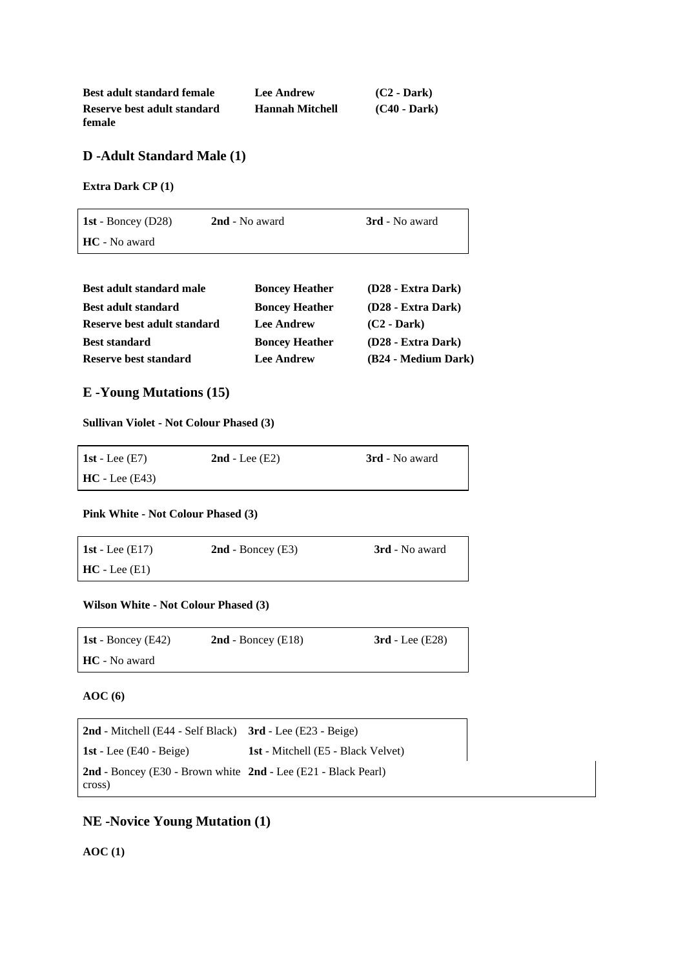| <b>Best adult standard female</b> | <b>Lee Andrew</b>      | $(C2 - Dark)$  |
|-----------------------------------|------------------------|----------------|
| Reserve best adult standard       | <b>Hannah Mitchell</b> | $(C40 - Dark)$ |
| female                            |                        |                |

### **D -Adult Standard Male (1)**

**Extra Dark CP (1)**

| 1st - Boncey $(D28)$ | 2nd - No award | <b>3rd</b> - No award |
|----------------------|----------------|-----------------------|
| <b>HC</b> - No award |                |                       |

| <b>Best adult standard male</b> | <b>Boncey Heather</b> | (D28 - Extra Dark)  |
|---------------------------------|-----------------------|---------------------|
| <b>Best adult standard</b>      | <b>Boncey Heather</b> | (D28 - Extra Dark)  |
| Reserve best adult standard     | <b>Lee Andrew</b>     | $(C2 - Dark)$       |
| <b>Best standard</b>            | <b>Boncey Heather</b> | (D28 - Extra Dark)  |
| Reserve best standard           | <b>Lee Andrew</b>     | (B24 - Medium Dark) |

## **E -Young Mutations (15)**

#### **Sullivan Violet - Not Colour Phased (3)**

| <b>1st</b> - Lee $(E7)$ | $2nd$ - Lee $(E2)$ | <b>3rd</b> - No award |
|-------------------------|--------------------|-----------------------|
| $HC - Lee (E43)$        |                    |                       |

#### **Pink White - Not Colour Phased (3)**

| 1st - Lee $(E17)$ | $2nd$ - Boncey (E3) | <b>3rd</b> - No award |
|-------------------|---------------------|-----------------------|
| $HC$ - Lee $(E1)$ |                     |                       |

#### **Wilson White - Not Colour Phased (3)**

| 1st - Boncey $(E42)$ | $2nd$ - Boncey (E18) | $3rd$ - Lee (E28) |
|----------------------|----------------------|-------------------|
| <b>HC</b> - No award |                      |                   |

#### **AOC (6)**

**2nd** - Mitchell (E44 - Self Black) **3rd** - Lee (E23 - Beige) **1st** - Lee (E40 - Beige) **1st** - Mitchell (E5 - Black Velvet) **2nd** - Boncey (E30 - Brown white **2nd** - Lee (E21 - Black Pearl) cross)

### **NE -Novice Young Mutation (1)**

**AOC (1)**